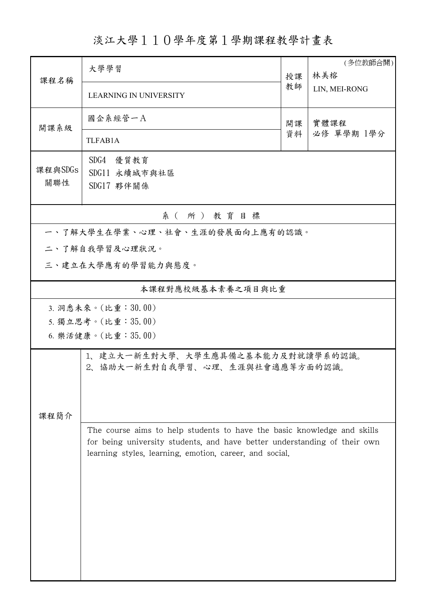淡江大學110學年度第1學期課程教學計畫表

| 課程名稱           | 大學學習                                                                                                                                                                                                            | 授課 | (多位教師合開)<br>林美榕 |  |  |
|----------------|-----------------------------------------------------------------------------------------------------------------------------------------------------------------------------------------------------------------|----|-----------------|--|--|
|                | <b>LEARNING IN UNIVERSITY</b>                                                                                                                                                                                   | 教師 | LIN, MEI-RONG   |  |  |
| 開課系級           | 國企系經管一A                                                                                                                                                                                                         | 開課 | 實體課程            |  |  |
|                | TLFAB1A                                                                                                                                                                                                         | 資料 | 必修 單學期 1學分      |  |  |
| 課程與SDGs<br>關聯性 | SDG4 優質教育<br>SDG11 永續城市與社區                                                                                                                                                                                      |    |                 |  |  |
|                | SDG17 夥伴關係                                                                                                                                                                                                      |    |                 |  |  |
|                | 系(所)教育目標                                                                                                                                                                                                        |    |                 |  |  |
|                | 一、了解大學生在學業、心理、社會、生涯的發展面向上應有的認識。                                                                                                                                                                                 |    |                 |  |  |
|                | 二、了解自我學習及心理狀況。                                                                                                                                                                                                  |    |                 |  |  |
|                | 三、建立在大學應有的學習能力與態度。                                                                                                                                                                                              |    |                 |  |  |
|                | 本課程對應校級基本素養之項目與比重                                                                                                                                                                                               |    |                 |  |  |
|                | 3. 洞悉未來。(比重:30.00)                                                                                                                                                                                              |    |                 |  |  |
|                | 5. 獨立思考。(比重:35.00)                                                                                                                                                                                              |    |                 |  |  |
|                | 6. 樂活健康。(比重:35.00)                                                                                                                                                                                              |    |                 |  |  |
|                | 1、建立大一新生對大學、大學生應具備之基本能力及對就讀學系的認識。<br>2、協助大一新生對自我學習、心理、生涯與社會適應等方面的認識。                                                                                                                                            |    |                 |  |  |
|                |                                                                                                                                                                                                                 |    |                 |  |  |
|                |                                                                                                                                                                                                                 |    |                 |  |  |
| 課程簡介           |                                                                                                                                                                                                                 |    |                 |  |  |
|                | The course aims to help students to have the basic knowledge and skills<br>for being university students, and have better understanding of their own<br>learning styles, learning, emotion, career, and social. |    |                 |  |  |
|                |                                                                                                                                                                                                                 |    |                 |  |  |
|                |                                                                                                                                                                                                                 |    |                 |  |  |
|                |                                                                                                                                                                                                                 |    |                 |  |  |
|                |                                                                                                                                                                                                                 |    |                 |  |  |
|                |                                                                                                                                                                                                                 |    |                 |  |  |
|                |                                                                                                                                                                                                                 |    |                 |  |  |
|                |                                                                                                                                                                                                                 |    |                 |  |  |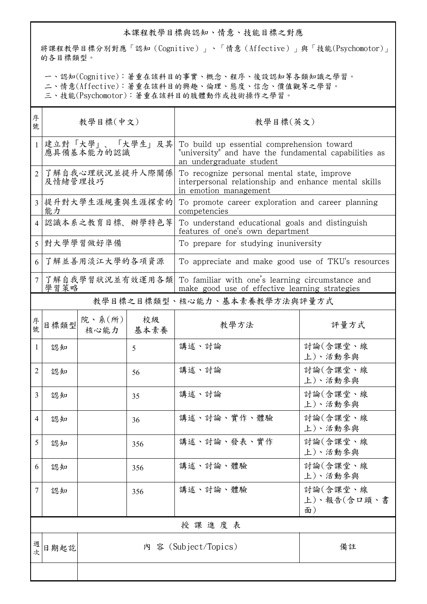## 本課程教學目標與認知、情意、技能目標之對應

將課程教學目標分別對應「認知(Cognitive)」、「情意(Affective)」與「技能(Psychomotor)」 的各目標類型。

一、認知(Cognitive):著重在該科目的事實、概念、程序、後設認知等各類知識之學習。

二、情意(Affective):著重在該科目的興趣、倫理、態度、信念、價值觀等之學習。

三、技能(Psychomotor):著重在該科目的肢體動作或技術操作之學習。

| 序<br>號                   | 教學目標(中文)                      |                                 |     | 教學目標(英文)                                                                                                                        |                               |
|--------------------------|-------------------------------|---------------------------------|-----|---------------------------------------------------------------------------------------------------------------------------------|-------------------------------|
| $\mathbf{1}$             | 建立對「大學」、「大學生」及其<br>應具備基本能力的認識 |                                 |     | To build up essential comprehension toward<br>"university" and have the fundamental capabilities as<br>an undergraduate student |                               |
| $\overline{2}$           | 了解自我心理狀況並提升人際關係<br>及情緒管理技巧    |                                 |     | To recognize personal mental state, improve<br>interpersonal relationship and enhance mental skills<br>in emotion management    |                               |
| $\mathbf{3}$             | 提升對大學生涯規畫與生涯探索的<br>能力         |                                 |     | To promote career exploration and career planning<br>competencies                                                               |                               |
| 4                        | 認識本系之教育目標、辦學特色等               |                                 |     | To understand educational goals and distinguish<br>features of one's own department                                             |                               |
| $\overline{\mathcal{L}}$ | 對大學學習做好準備                     |                                 |     | To prepare for studying inuniversity                                                                                            |                               |
| 6                        | 了解並善用淡江大學的各項資源                |                                 |     | To appreciate and make good use of TKU's resources                                                                              |                               |
| 7                        | 學習策略                          |                                 |     | 了解自我學習狀況並有效運用各類 To familiar with one's learning circumstance and<br>make good use of effective learning strategies              |                               |
|                          | 教學目標之目標類型、核心能力、基本素養教學方法與評量方式  |                                 |     |                                                                                                                                 |                               |
| 序號                       | 目標類型                          | 院、系 $(\text{m})$<br>核心能力   基本素養 | 校級  | 教學方法                                                                                                                            | 評量方式                          |
| 1                        | 認知                            |                                 | 5   | 講述、討論                                                                                                                           | 討論(含課堂、線<br>上)、活動參與           |
| 2                        | 認知                            |                                 | 56  | 講述、討論                                                                                                                           | 討論(含課堂、線<br>上)、活動參與           |
| 3                        | 認知                            |                                 | 35  | 講述、討論                                                                                                                           | 討論(含課堂、線<br>上)、活動參與           |
| 4                        | 認知                            |                                 | 36  | 講述、討論、實作、體驗                                                                                                                     | 討論(含課堂、線<br>上)、活動參與           |
| 5                        | 認知                            |                                 | 356 | 講述、討論、發表、實作                                                                                                                     | 討論(含課堂、線<br>上)、活動參與           |
| 6                        | 認知                            |                                 | 356 | 講述、討論、體驗                                                                                                                        | 討論(含課堂、線<br>上)、活動參與           |
| 7                        | 認知                            |                                 | 356 | 講述、討論、體驗                                                                                                                        | 討論(含課堂、線<br>上)、報告(含口頭、書<br>面) |
|                          |                               |                                 |     | 授課進度表                                                                                                                           |                               |
| 週次                       | 日期起訖                          |                                 |     | 內 容 (Subject/Topics)                                                                                                            | 備註                            |
|                          |                               |                                 |     |                                                                                                                                 |                               |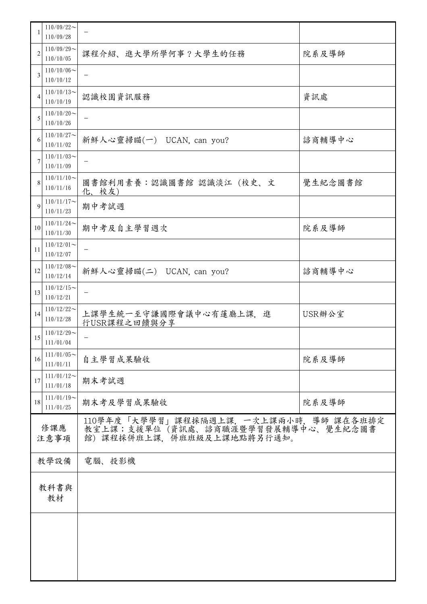| 1           | $110/09/22$ ~<br>110/09/28 |                                                                                                           |         |
|-------------|----------------------------|-----------------------------------------------------------------------------------------------------------|---------|
| 2           | $110/09/29$ ~<br>110/10/05 | 課程介紹、進大學所學何事?大學生的任務                                                                                       | 院系及導師   |
| 3           | $110/10/06$ ~<br>110/10/12 |                                                                                                           |         |
| 4           | $110/10/13$ ~<br>110/10/19 | 認識校園資訊服務                                                                                                  | 資訊處     |
| 5           | $110/10/20$ ~<br>110/10/26 |                                                                                                           |         |
| 6           | $110/10/27$ ~<br>110/11/02 | 新鮮人心靈掃瞄(一) UCAN, can you?                                                                                 | 諮商輔導中心  |
| 7           | $110/11/03$ ~<br>110/11/09 |                                                                                                           |         |
| 8           | $110/11/10$ ~<br>110/11/16 | 圖書館利用素養:認識圖書館認識淡江 (校史、文<br>化、校友)                                                                          | 覺生紀念圖書館 |
| 9           | $110/11/17$ ~<br>110/11/23 | 期中考試週                                                                                                     |         |
| 10          | $110/11/24$ ~<br>110/11/30 | 期中考及自主學習週次                                                                                                | 院系及導師   |
| 11          | $110/12/01$ ~<br>110/12/07 |                                                                                                           |         |
| 12          | $110/12/08$ ~<br>110/12/14 | 新鮮人心靈掃瞄(二) UCAN, can you?                                                                                 | 諮商輔導中心  |
| 13          | $110/12/15$ ~<br>110/12/21 |                                                                                                           |         |
| 14          | $110/12/22$ ~<br>110/12/28 | 上課學生統一至守謙國際會議中心有蓮廳上課,進<br>行USR課程之回饋與分享                                                                    | USR辦公室  |
| 15          | $110/12/29$ ~<br>111/01/04 |                                                                                                           |         |
| 16          | $111/01/05$ ~<br>111/01/11 | 自主學習成果驗收                                                                                                  | 院系及導師   |
| 17          | $111/01/12$ ~<br>111/01/18 | 期末考試週                                                                                                     |         |
| 18          | $111/01/19$ ~<br>111/01/25 | 期末考及學習成果驗收                                                                                                | 院系及導師   |
| 修課應<br>注意事項 |                            | 110學年度「大學學習」課程採隔週上課,一次上課兩小時,導師 課在各班排定<br>教室上課;支援單位 (資訊處、諮商職涯暨學習發展輔導中心、覺生紀念圖書<br>館)課程採併班上課,併班班級及上課地點將另行通知。 |         |
|             | 教學設備                       | 電腦、投影機                                                                                                    |         |
|             | 教科書與<br>教材                 |                                                                                                           |         |
|             |                            |                                                                                                           |         |
|             |                            |                                                                                                           |         |